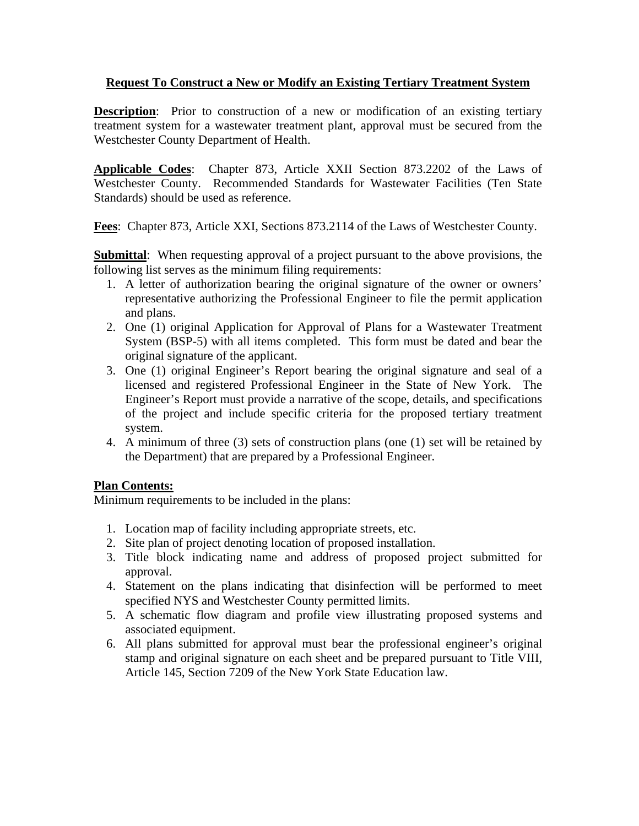## **Request To Construct a New or Modify an Existing Tertiary Treatment System**

**Description:** Prior to construction of a new or modification of an existing tertiary treatment system for a wastewater treatment plant, approval must be secured from the Westchester County Department of Health.

**Applicable Codes**: Chapter 873, Article XXII Section 873.2202 of the Laws of Westchester County. Recommended Standards for Wastewater Facilities (Ten State Standards) should be used as reference.

**Fees**: Chapter 873, Article XXI, Sections 873.2114 of the Laws of Westchester County.

**Submittal**: When requesting approval of a project pursuant to the above provisions, the following list serves as the minimum filing requirements:

- 1. A letter of authorization bearing the original signature of the owner or owners' representative authorizing the Professional Engineer to file the permit application and plans.
- 2. One (1) original Application for Approval of Plans for a Wastewater Treatment System (BSP-5) with all items completed. This form must be dated and bear the original signature of the applicant.
- 3. One (1) original Engineer's Report bearing the original signature and seal of a licensed and registered Professional Engineer in the State of New York. The Engineer's Report must provide a narrative of the scope, details, and specifications of the project and include specific criteria for the proposed tertiary treatment system.
- 4. A minimum of three (3) sets of construction plans (one (1) set will be retained by the Department) that are prepared by a Professional Engineer.

## **Plan Contents:**

Minimum requirements to be included in the plans:

- 1. Location map of facility including appropriate streets, etc.
- 2. Site plan of project denoting location of proposed installation.
- 3. Title block indicating name and address of proposed project submitted for approval.
- 4. Statement on the plans indicating that disinfection will be performed to meet specified NYS and Westchester County permitted limits.
- 5. A schematic flow diagram and profile view illustrating proposed systems and associated equipment.
- 6. All plans submitted for approval must bear the professional engineer's original stamp and original signature on each sheet and be prepared pursuant to Title VIII, Article 145, Section 7209 of the New York State Education law.